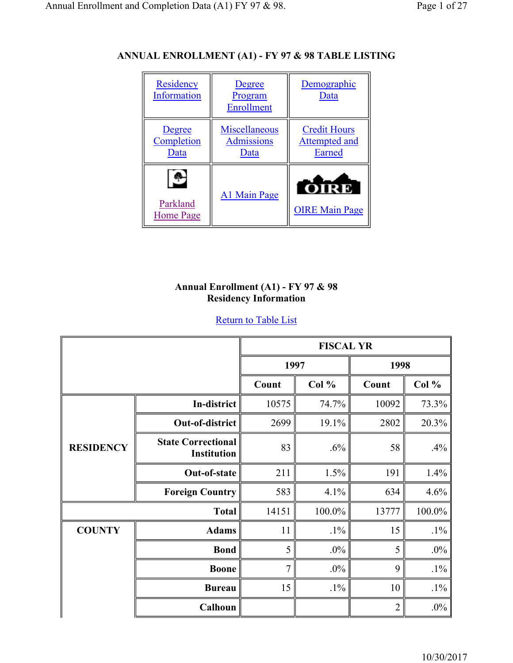# **ANNUAL ENROLLMENT (A1) - FY 97 & 98 TABLE LISTING**



### **Annual Enrollment (A1) - FY 97 & 98 Residency Information**

|                  |                                                 | <b>FISCAL YR</b> |        |                |        |
|------------------|-------------------------------------------------|------------------|--------|----------------|--------|
|                  |                                                 |                  | 1997   | 1998           |        |
|                  |                                                 | Count            | Col %  | Count          | Col %  |
|                  | In-district                                     | 10575            | 74.7%  | 10092          | 73.3%  |
|                  | Out-of-district                                 | 2699             | 19.1%  | 2802           | 20.3%  |
| <b>RESIDENCY</b> | <b>State Correctional</b><br><b>Institution</b> | 83               | .6%    | 58             | .4%    |
|                  | Out-of-state                                    | 211              | 1.5%   | 191            | 1.4%   |
|                  | <b>Foreign Country</b>                          | 583              | 4.1%   | 634            | 4.6%   |
|                  | <b>Total</b>                                    | 14151            | 100.0% | 13777          | 100.0% |
| <b>COUNTY</b>    | <b>Adams</b>                                    | 11               | $.1\%$ | 15             | $.1\%$ |
|                  | <b>Bond</b>                                     | 5                | $.0\%$ | 5              | $.0\%$ |
|                  | <b>Boone</b>                                    | 7                | $.0\%$ | 9              | $.1\%$ |
|                  | <b>Bureau</b>                                   | 15               | $.1\%$ | 10             | $.1\%$ |
|                  | Calhoun                                         |                  |        | $\overline{2}$ | $.0\%$ |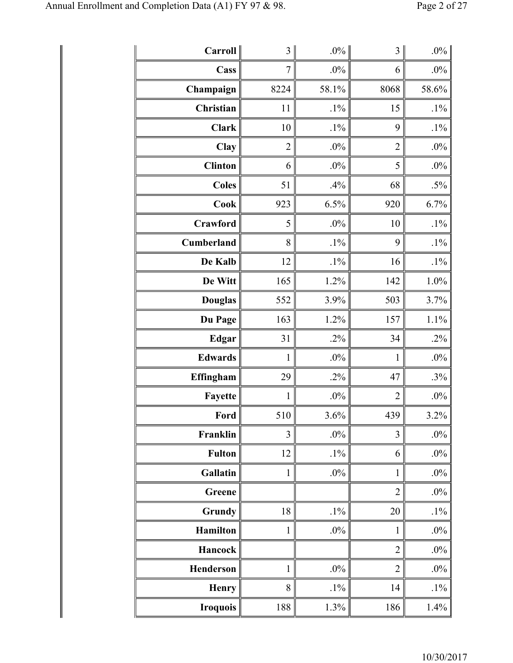| Carroll        | $\mathfrak{Z}$ | $.0\%$ | $\overline{\mathbf{3}}$ | $.0\%$ |
|----------------|----------------|--------|-------------------------|--------|
| Cass           | $\overline{7}$ | .0%    | 6                       | $.0\%$ |
| Champaign      | 8224           | 58.1%  | 8068                    | 58.6%  |
| Christian      | 11             | $.1\%$ | 15                      | $.1\%$ |
| <b>Clark</b>   | 10             | $.1\%$ | 9                       | $.1\%$ |
| Clay           | $\overline{c}$ | $.0\%$ | $\overline{2}$          | .0%    |
| <b>Clinton</b> | 6              | $.0\%$ | 5                       | .0%    |
| <b>Coles</b>   | 51             | .4%    | 68                      | $.5\%$ |
| <b>Cook</b>    | 923            | 6.5%   | 920                     | 6.7%   |
| Crawford       | 5              | $.0\%$ | 10                      | $.1\%$ |
| Cumberland     | 8              | $.1\%$ | 9                       | $.1\%$ |
| De Kalb        | 12             | $.1\%$ | 16                      | $.1\%$ |
| De Witt        | 165            | 1.2%   | 142                     | 1.0%   |
| <b>Douglas</b> | 552            | 3.9%   | 503                     | 3.7%   |
| Du Page        | 163            | 1.2%   | 157                     | 1.1%   |
| Edgar          | 31             | $.2\%$ | 34                      | .2%    |
| <b>Edwards</b> | 1              | $.0\%$ | $\mathbf{1}$            | .0%    |
| Effingham      | 29             | $.2\%$ | 47                      | $.3\%$ |
| Fayette        | 1              | $.0\%$ | $\overline{2}$          | .0%    |
| Ford $\ $      | 510            | 3.6%   | 439                     | 3.2%   |
| Franklin       | 3              | $.0\%$ | 3                       | $.0\%$ |
| <b>Fulton</b>  | 12             | $.1\%$ | 6                       | .0%    |
| Gallatin       | $\mathbf{1}$   | $.0\%$ | $\mathbf{1}$            | .0%    |
| Greene         |                |        | $\overline{2}$          | $.0\%$ |
| Grundy         | 18             | $.1\%$ | 20                      | $.1\%$ |
| Hamilton       | $\mathbf{1}$   | $.0\%$ | $\mathbf{1}$            | $.0\%$ |
| Hancock        |                |        | $\overline{2}$          | $.0\%$ |
| Henderson      | $\mathbf{1}$   | $.0\%$ | $\overline{2}$          | $.0\%$ |
| <b>Henry</b>   | 8              | $.1\%$ | 14                      | $.1\%$ |
| Iroquois       | 188            | 1.3%   | 186                     | 1.4%   |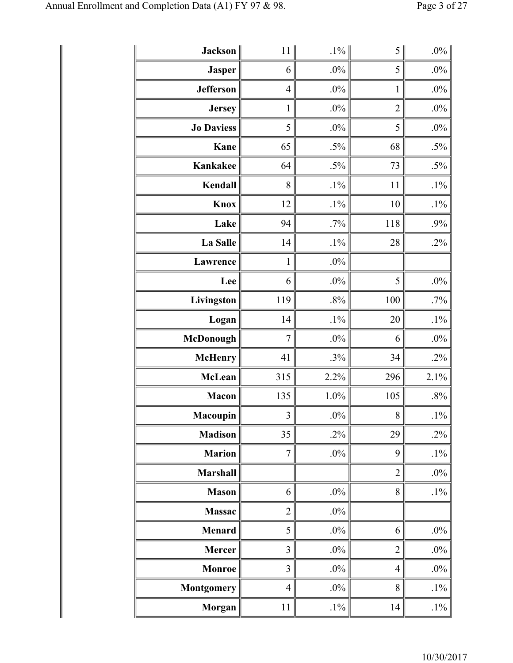| Jackson           | 11             | $.1\%$ | 5              | $.0\%$ |
|-------------------|----------------|--------|----------------|--------|
| <b>Jasper</b>     | 6              | $.0\%$ | 5              | $.0\%$ |
| <b>Jefferson</b>  | $\overline{4}$ | $.0\%$ | $\mathbbm{1}$  | .0%    |
| <b>Jersey</b>     | $\mathbf{1}$   | $.0\%$ | $\overline{2}$ | .0%    |
| <b>Jo Daviess</b> | 5              | $.0\%$ | 5              | .0%    |
| Kane              | 65             | $.5\%$ | 68             | $.5\%$ |
| Kankakee          | 64             | $.5\%$ | 73             | $.5\%$ |
| Kendall           | 8              | $.1\%$ | 11             | $.1\%$ |
| Knox              | 12             | $.1\%$ | 10             | $.1\%$ |
| Lake              | 94             | $.7\%$ | 118            | .9%    |
| La Salle          | 14             | $.1\%$ | 28             | .2%    |
| Lawrence          | $\mathbf{1}$   | $.0\%$ |                |        |
| Lee               | 6              | $.0\%$ | 5              | $.0\%$ |
| Livingston        | 119            | $.8\%$ | 100            | .7%    |
| Logan             | 14             | $.1\%$ | 20             | $.1\%$ |
| <b>McDonough</b>  | $\overline{7}$ | $.0\%$ | 6              | .0%    |
| <b>McHenry</b>    | 41             | $.3\%$ | 34             | $.2\%$ |
| <b>McLean</b>     | 315            | 2.2%   | 296            | 2.1%   |
| <b>Macon</b>      | 135            | 1.0%   | 105            | .8%    |
| Macoupin          | 3              | $.0\%$ | 8              | $.1\%$ |
| <b>Madison</b>    | 35             | $.2\%$ | 29             | .2%    |
| <b>Marion</b>     | $\overline{7}$ | $.0\%$ | 9              | $.1\%$ |
| Marshall          |                |        | $\overline{2}$ | $.0\%$ |
| <b>Mason</b>      | 6              | $.0\%$ | 8              | $.1\%$ |
| <b>Massac</b>     | $\overline{c}$ | $.0\%$ |                |        |
| <b>Menard</b>     | 5              | $.0\%$ | 6              | $.0\%$ |
| <b>Mercer</b>     | 3              | $.0\%$ | $\overline{2}$ | $.0\%$ |
| <b>Monroe</b>     | 3              | $.0\%$ | $\overline{4}$ | $.0\%$ |
| <b>Montgomery</b> | $\overline{4}$ | $.0\%$ | 8              | $.1\%$ |
| <b>Morgan</b>     | 11             | $.1\%$ | 14             | $.1\%$ |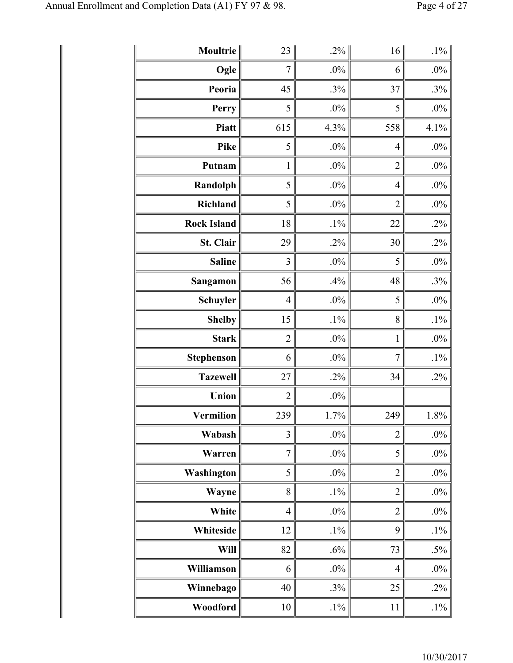| Moultrie           | 23             | $.2\%$ | 16             | $.1\%$ |
|--------------------|----------------|--------|----------------|--------|
| Ogle               | $\overline{7}$ | $.0\%$ | 6              | $.0\%$ |
| Peoria             | 45             | .3%    | 37             | .3%    |
| Perry              | 5              | $.0\%$ | 5              | .0%    |
| <b>Piatt</b>       | 615            | 4.3%   | 558            | 4.1%   |
| Pike               | 5              | $.0\%$ | $\overline{4}$ | $.0\%$ |
| Putnam             | $\mathbf{1}$   | $.0\%$ | $\overline{2}$ | $.0\%$ |
| Randolph           | 5              | $.0\%$ | $\overline{4}$ | .0%    |
| Richland           | 5              | $.0\%$ | $\overline{2}$ | .0%    |
| <b>Rock Island</b> | 18             | $.1\%$ | 22             | .2%    |
| St. Clair          | 29             | $.2\%$ | 30             | $.2\%$ |
| <b>Saline</b>      | 3              | $.0\%$ | 5              | .0%    |
| Sangamon           | 56             | .4%    | 48             | $.3\%$ |
| <b>Schuyler</b>    | $\overline{4}$ | $.0\%$ | 5              | .0%    |
| <b>Shelby</b>      | 15             | $.1\%$ | 8              | $.1\%$ |
| <b>Stark</b>       | $\overline{c}$ | $.0\%$ | $\mathbf{1}$   | .0%    |
| <b>Stephenson</b>  | 6              | $.0\%$ | 7              | $.1\%$ |
| <b>Tazewell</b>    | 27             | $.2\%$ | 34             | $.2\%$ |
| Union              | $\overline{c}$ | $.0\%$ |                |        |
| Vermilion          | 239            | 1.7%   | 249            | 1.8%   |
| Wabash             | 3              | $.0\%$ | $\overline{2}$ | $.0\%$ |
| Warren             | $\overline{7}$ | $.0\%$ | 5              | $.0\%$ |
| Washington         | 5              | $.0\%$ | $\overline{2}$ | $.0\%$ |
| <b>Wayne</b>       | 8              | $.1\%$ | $\overline{2}$ | $.0\%$ |
| White              | $\overline{4}$ | $.0\%$ | $\overline{2}$ | $.0\%$ |
| Whiteside          | 12             | $.1\%$ | 9              | $.1\%$ |
| Will               | 82             | .6%    | 73             | $.5\%$ |
| Williamson         | 6              | $.0\%$ | $\overline{4}$ | $.0\%$ |
| Winnebago          | 40             | $.3\%$ | 25             | $.2\%$ |
| Woodford           | 10             | $.1\%$ | 11             | $.1\%$ |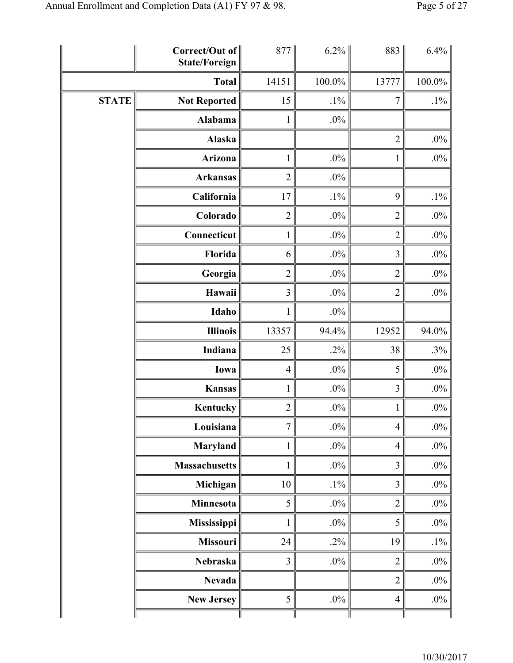|              | Correct/Out of<br><b>State/Foreign</b> | 877            | $6.2\%$ | 883            | 6.4%   |
|--------------|----------------------------------------|----------------|---------|----------------|--------|
|              | <b>Total</b>                           | 14151          | 100.0%  | 13777          | 100.0% |
| <b>STATE</b> | <b>Not Reported</b>                    | 15             | $.1\%$  | $\tau$         | $.1\%$ |
|              | Alabama                                | $\mathbf{1}$   | $.0\%$  |                |        |
|              | Alaska                                 |                |         | $\overline{2}$ | $.0\%$ |
|              | Arizona                                | $\mathbf{1}$   | $.0\%$  | $\mathbf{1}$   | $.0\%$ |
|              | <b>Arkansas</b>                        | $\overline{c}$ | $.0\%$  |                |        |
|              | California                             | 17             | $.1\%$  | 9              | $.1\%$ |
|              | Colorado                               | $\overline{2}$ | $.0\%$  | $\overline{2}$ | $.0\%$ |
|              | Connecticut                            | $\mathbf{1}$   | $.0\%$  | $\overline{2}$ | $.0\%$ |
|              | Florida                                | 6              | $.0\%$  | 3              | $.0\%$ |
|              | Georgia                                | $\overline{2}$ | $.0\%$  | $\overline{2}$ | $.0\%$ |
|              | Hawaii                                 | 3              | $.0\%$  | $\overline{2}$ | $.0\%$ |
|              | Idaho                                  | 1              | $.0\%$  |                |        |
|              | <b>Illinois</b>                        | 13357          | 94.4%   | 12952          | 94.0%  |
|              | Indiana                                | 25             | $.2\%$  | 38             | $.3\%$ |
|              | Iowa                                   | $\overline{4}$ | $.0\%$  | 5              | $.0\%$ |
|              | <b>Kansas</b>                          | $\mathbf{1}$   | $.0\%$  | $\overline{3}$ | $.0\%$ |
|              | Kentucky                               | $\overline{2}$ | $.0\%$  | $\mathbf{1}$   | $.0\%$ |
|              | Louisiana                              | $\overline{7}$ | $.0\%$  | $\overline{4}$ | $.0\%$ |
|              | <b>Maryland</b>                        | $\mathbf{1}$   | $.0\%$  | $\overline{4}$ | $.0\%$ |
|              | <b>Massachusetts</b>                   | 1              | $.0\%$  | 3              | $.0\%$ |
|              | Michigan                               | $10\,$         | $.1\%$  | $\overline{3}$ | $.0\%$ |
|              | <b>Minnesota</b>                       | 5              | $.0\%$  | $\overline{2}$ | $.0\%$ |
|              | Mississippi                            | 1              | $.0\%$  | 5              | $.0\%$ |
|              | <b>Missouri</b>                        | 24             | $.2\%$  | 19             | $.1\%$ |
|              | Nebraska                               | $\overline{3}$ | $.0\%$  | $\overline{2}$ | $.0\%$ |
|              | <b>Nevada</b>                          |                |         | $\overline{2}$ | $.0\%$ |
|              | <b>New Jersey</b>                      | 5              | $.0\%$  | $\overline{4}$ | $.0\%$ |
|              |                                        |                |         |                |        |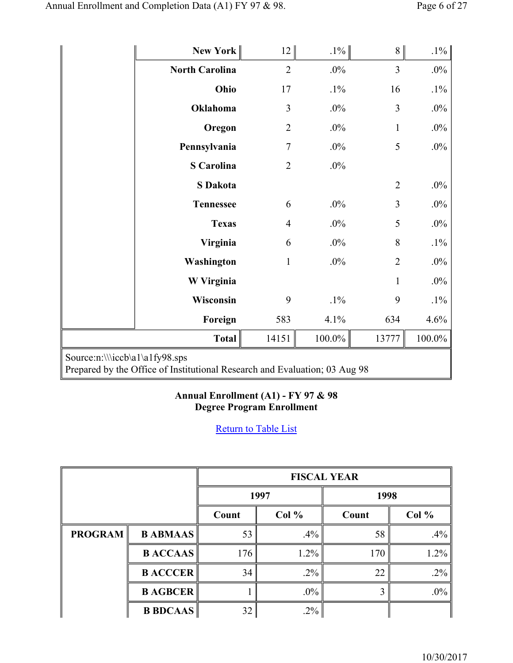|                                | New York              | 12             | $.1\%$ | 8              | $.1\%$ |  |
|--------------------------------|-----------------------|----------------|--------|----------------|--------|--|
|                                | <b>North Carolina</b> | $\overline{2}$ | $.0\%$ | $\overline{3}$ | $.0\%$ |  |
|                                | Ohio                  | 17             | $.1\%$ | 16             | $.1\%$ |  |
|                                | Oklahoma              | $\overline{3}$ | $.0\%$ | $\overline{3}$ | $.0\%$ |  |
|                                | Oregon                | $\overline{2}$ | $.0\%$ | $\mathbf{1}$   | $.0\%$ |  |
|                                | Pennsylvania          | $\overline{7}$ | $.0\%$ | 5              | $.0\%$ |  |
|                                | <b>S</b> Carolina     | $\overline{2}$ | $.0\%$ |                |        |  |
|                                | <b>S</b> Dakota       |                |        | $\overline{2}$ | $.0\%$ |  |
|                                | <b>Tennessee</b>      | 6              | $.0\%$ | 3              | $.0\%$ |  |
|                                | <b>Texas</b>          | $\overline{4}$ | $.0\%$ | 5              | $.0\%$ |  |
|                                | Virginia              | 6              | $.0\%$ | 8              | $.1\%$ |  |
|                                | Washington            | $\mathbf{1}$   | $.0\%$ | $\overline{2}$ | $.0\%$ |  |
|                                | W Virginia            |                |        | $\mathbf{1}$   | $.0\%$ |  |
|                                | Wisconsin             | 9              | $.1\%$ | 9              | $.1\%$ |  |
|                                | Foreign               | 583            | 4.1%   | 634            | 4.6%   |  |
|                                | $\text{Total}$        | 14151          | 100.0% | 13777          | 100.0% |  |
| Source:n:\\\iccb\a1\a1fy98.sps |                       |                |        |                |        |  |

# Prepared by the Office of Institutional Research and Evaluation; 03 Aug 98

### **Annual Enrollment (A1) - FY 97 & 98 Degree Program Enrollment**

|                |                 | <b>FISCAL YEAR</b> |         |       |        |  |
|----------------|-----------------|--------------------|---------|-------|--------|--|
|                |                 | 1997               |         | 1998  |        |  |
|                |                 | Col %<br>Count     |         | Count | Col %  |  |
| <b>PROGRAM</b> | <b>B ABMAAS</b> | 53                 | $.4\%$  | 58    | $.4\%$ |  |
|                | <b>BACCAAS</b>  | 176                | $1.2\%$ | 170   | 1.2%   |  |
|                | <b>B ACCCER</b> | 34                 | $.2\%$  | 22    | $.2\%$ |  |
|                | <b>B AGBCER</b> |                    | $.0\%$  |       | $.0\%$ |  |
|                | <b>B BDCAAS</b> | 32                 | $.2\%$  |       |        |  |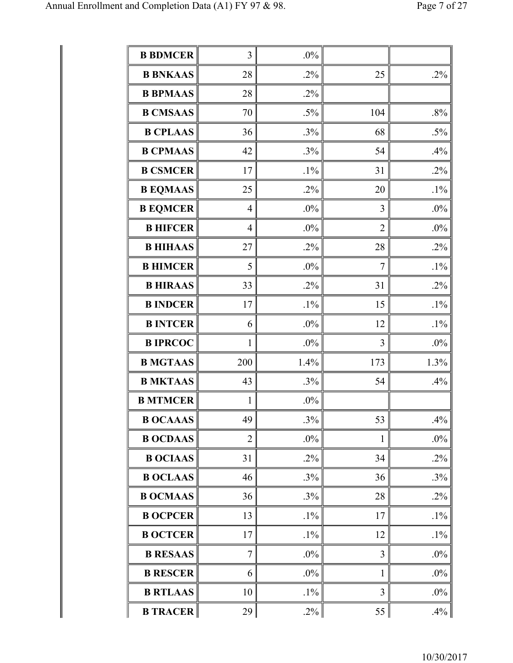| <b>B BDMCER</b> | 3              | $.0\%$ |                |        |
|-----------------|----------------|--------|----------------|--------|
| <b>B BNKAAS</b> | 28             | $.2\%$ | 25             | .2%    |
| <b>B BPMAAS</b> | 28             | $.2\%$ |                |        |
| <b>B CMSAAS</b> | 70             | $.5\%$ | 104            | .8%    |
| <b>B CPLAAS</b> | 36             | .3%    | 68             | $.5\%$ |
| <b>B CPMAAS</b> | 42             | $.3\%$ | 54             | .4%    |
| <b>B CSMCER</b> | 17             | $.1\%$ | 31             | $.2\%$ |
| <b>B EQMAAS</b> | 25             | $.2\%$ | 20             | $.1\%$ |
| <b>B EQMCER</b> | $\overline{4}$ | $.0\%$ | 3              | .0%    |
| <b>B HIFCER</b> | $\overline{4}$ | $.0\%$ | $\overline{2}$ | .0%    |
| <b>B HIHAAS</b> | 27             | $.2\%$ | 28             | .2%    |
| <b>B HIMCER</b> | 5              | .0%    | $\overline{7}$ | $.1\%$ |
| <b>B HIRAAS</b> | 33             | $.2\%$ | 31             | $.2\%$ |
| <b>B INDCER</b> | 17             | $.1\%$ | 15             | $.1\%$ |
| <b>B INTCER</b> | 6              | $.0\%$ | 12             | $.1\%$ |
| <b>B IPRCOC</b> | $\mathbf{1}$   | $.0\%$ | 3              | .0%    |
| <b>B MGTAAS</b> | 200            | 1.4%   | 173            | 1.3%   |
| <b>B MKTAAS</b> | 43             | $.3\%$ | 54             | .4%    |
| <b>B MTMCER</b> | $\mathbf{1}$   | $.0\%$ |                |        |
| <b>B OCAAAS</b> | 49             | $.3\%$ | 53             | .4%    |
| <b>B OCDAAS</b> | $\overline{2}$ | $.0\%$ | $\mathbf{1}$   | $.0\%$ |
| <b>B OCIAAS</b> | 31             | $.2\%$ | 34             | $.2\%$ |
| <b>B OCLAAS</b> | 46             | $.3\%$ | 36             | $.3\%$ |
| <b>B OCMAAS</b> | 36             | $.3\%$ | 28             | $.2\%$ |
| <b>B OCPCER</b> | 13             | $.1\%$ | 17             | $.1\%$ |
| <b>B OCTCER</b> | 17             | $.1\%$ | 12             | $.1\%$ |
| <b>B RESAAS</b> | $\tau$         | $.0\%$ | $\overline{3}$ | .0%    |
| <b>B RESCER</b> | 6              | $.0\%$ | $\mathbf{1}$   | .0%    |
| <b>B RTLAAS</b> | 10             | $.1\%$ | 3              | $.0\%$ |
| <b>B TRACER</b> | 29             | $.2\%$ | 55             | .4%    |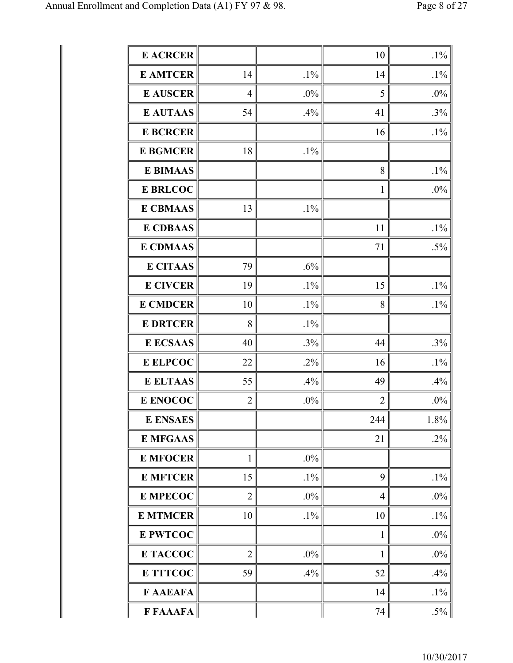| <b>E ACRCER</b> |                |        | 10             | $.1\%$ |
|-----------------|----------------|--------|----------------|--------|
| <b>E AMTCER</b> | 14             | $.1\%$ | 14             | $.1\%$ |
| <b>E AUSCER</b> | $\overline{4}$ | $.0\%$ | 5              | .0%    |
| <b>E AUTAAS</b> | 54             | .4%    | 41             | .3%    |
| <b>E BCRCER</b> |                |        | 16             | $.1\%$ |
| <b>E BGMCER</b> | 18             | $.1\%$ |                |        |
| <b>E BIMAAS</b> |                |        | 8              | $.1\%$ |
| <b>E BRLCOC</b> |                |        | 1              | .0%    |
| <b>E CBMAAS</b> | 13             | $.1\%$ |                |        |
| <b>E CDBAAS</b> |                |        | 11             | $.1\%$ |
| <b>E CDMAAS</b> |                |        | 71             | $.5\%$ |
| <b>E CITAAS</b> | 79             | .6%    |                |        |
| <b>E CIVCER</b> | 19             | $.1\%$ | 15             | $.1\%$ |
| <b>E CMDCER</b> | 10             | $.1\%$ | 8              | $.1\%$ |
| <b>E DRTCER</b> | 8              | $.1\%$ |                |        |
| <b>E ECSAAS</b> | 40             | .3%    | 44             | .3%    |
| <b>E ELPCOC</b> | 22             | $.2\%$ | 16             | $.1\%$ |
| <b>E ELTAAS</b> | 55             | .4%    | 49             | .4%    |
| E ENOCOC        | $\overline{2}$ | $.0\%$ | $\overline{2}$ | .0%    |
| <b>E ENSAES</b> |                |        | 244            | 1.8%   |
| <b>E MFGAAS</b> |                |        | 21             | .2%    |
| <b>E MFOCER</b> | $\mathbf{1}$   | $.0\%$ |                |        |
| <b>E MFTCER</b> | 15             | $.1\%$ | 9              | $.1\%$ |
| <b>E MPECOC</b> | $\overline{2}$ | $.0\%$ | $\overline{4}$ | .0%    |
| <b>E MTMCER</b> | 10             | $.1\%$ | 10             | $.1\%$ |
| <b>E PWTCOC</b> |                |        | $\mathbf{1}$   | .0%    |
| E TACCOC        | $\overline{2}$ | $.0\%$ | 1              | $.0\%$ |
| <b>E TTTCOC</b> | 59             | .4%    | 52             | .4%    |
| F AAEAFA        |                |        | 14             | $.1\%$ |
| F FAAAFA        |                |        | 74             | $.5\%$ |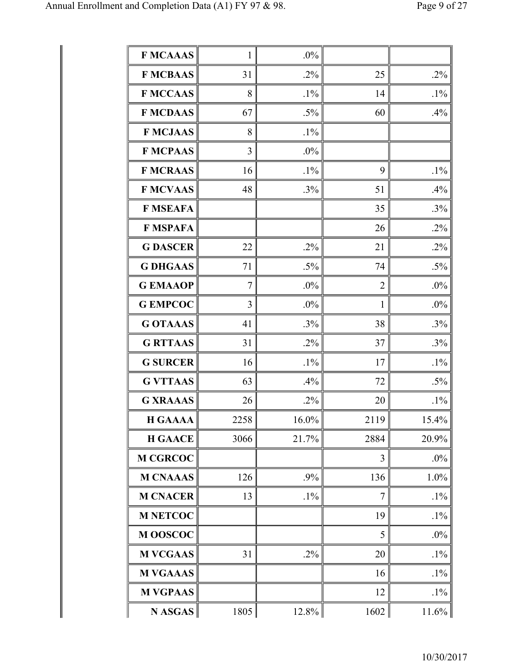| <b>F MCAAAS</b> | 1              | $.0\%$   |                |          |
|-----------------|----------------|----------|----------------|----------|
| <b>F MCBAAS</b> | 31             | $.2\%$   | 25             | .2%      |
| <b>F MCCAAS</b> | 8              | $.1\%$   | 14             | $.1\%$   |
| <b>F MCDAAS</b> | 67             | $.5\%$   | 60             | .4%      |
| <b>F MCJAAS</b> | 8              | $.1\%$   |                |          |
| <b>F MCPAAS</b> | 3              | .0%      |                |          |
| <b>F MCRAAS</b> | 16             | $.1\%$   | 9              | $.1\%$   |
| <b>F MCVAAS</b> | 48             | $.3\%$   | 51             | .4%      |
| <b>F MSEAFA</b> |                |          | 35             | .3%      |
| <b>F MSPAFA</b> |                |          | 26             | $.2\%$   |
| <b>G DASCER</b> | 22             | $.2\%$   | 21             | $.2\%$   |
| <b>G DHGAAS</b> | 71             | $.5\%$   | 74             | $.5\%$   |
| <b>GEMAAOP</b>  | $\overline{7}$ | $.0\%$   | $\overline{2}$ | .0%      |
| <b>G EMPCOC</b> | 3              | $.0\%$   | 1              | .0%      |
| <b>G OTAAAS</b> | 41             | $.3\%$   | 38             | .3%      |
| <b>G RTTAAS</b> | 31             | $.2\%$   | 37             | .3%      |
| <b>G SURCER</b> | 16             | $.1\%$   | 17             | $.1\%$   |
| <b>G VTTAAS</b> | 63             | .4%      | 72             | $.5\%$   |
| <b>G XRAAAS</b> | 26             | $.2\%$   | 20             | $.1\%$   |
| <b>H GAAAA</b>  | 2258           | 16.0%    | 2119           | 15.4%    |
| <b>H GAACE</b>  | 3066           | 21.7%    | 2884           | 20.9%    |
| <b>M CGRCOC</b> |                |          | 3              | .0%      |
| <b>M CNAAAS</b> | 126            | $.9\%$   | 136            | 1.0%     |
| <b>M CNACER</b> | 13             | $.1\%$   | 7              | $.1\%$   |
| <b>M NETCOC</b> |                |          | 19             | $.1\%$   |
| M OOSCOC        |                |          | 5              | .0%      |
| <b>M VCGAAS</b> | 31             | $.2\%$   | 20             | $.1\%$   |
| <b>M VGAAAS</b> |                |          | 16             | $.1\%$   |
| <b>M VGPAAS</b> |                |          | 12             | $.1\%$   |
| $N$ ASGAS       | 1805           | $12.8\%$ | 1602           | $11.6\%$ |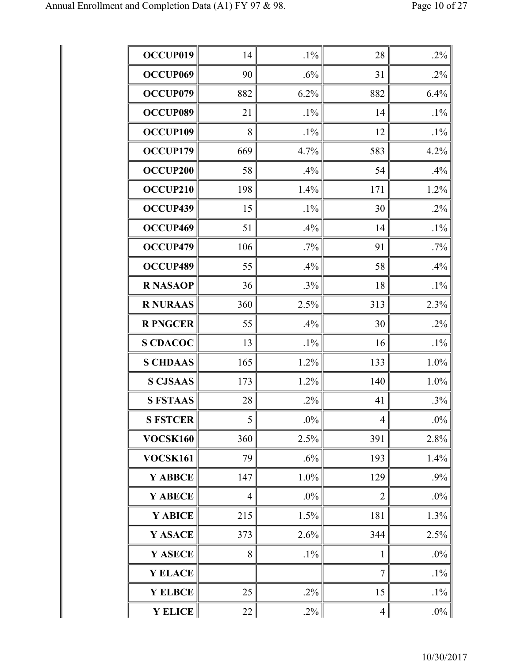| OCCUP019             | 14             | $.1\%$ | 28             | .2%    |
|----------------------|----------------|--------|----------------|--------|
| OCCUP <sub>069</sub> | 90             | .6%    | 31             | .2%    |
| OCCUP079             | 882            | 6.2%   | 882            | 6.4%   |
| OCCUP089             | 21             | $.1\%$ | 14             | $.1\%$ |
| OCCUP109             | 8              | $.1\%$ | 12             | $.1\%$ |
| OCCUP179             | 669            | 4.7%   | 583            | 4.2%   |
| OCCUP200             | 58             | .4%    | 54             | .4%    |
| OCCUP210             | 198            | 1.4%   | 171            | 1.2%   |
| OCCUP439             | 15             | $.1\%$ | 30             | $.2\%$ |
| OCCUP469             | 51             | .4%    | 14             | $.1\%$ |
| OCCUP479             | 106            | .7%    | 91             | $.7\%$ |
| OCCUP489             | 55             | .4%    | 58             | .4%    |
| <b>R NASAOP</b>      | 36             | $.3\%$ | 18             | $.1\%$ |
| <b>R NURAAS</b>      | 360            | 2.5%   | 313            | 2.3%   |
| <b>R PNGCER</b>      | 55             | .4%    | 30             | .2%    |
| <b>S CDACOC</b>      | 13             | $.1\%$ | 16             | $.1\%$ |
| <b>S CHDAAS</b>      | 165            | 1.2%   | 133            | 1.0%   |
| <b>S CJSAAS</b>      | 173            | 1.2%   | 140            | 1.0%   |
| <b>S FSTAAS</b>      | 28             | $.2\%$ | 41             | $.3\%$ |
| <b>S FSTCER</b>      | 5              | $.0\%$ | $\overline{4}$ | .0%    |
| VOCSK160             | 360            | 2.5%   | 391            | 2.8%   |
| <b>VOCSK161</b>      | 79             | $.6\%$ | 193            | 1.4%   |
| Y ABBCE              | 147            | 1.0%   | 129            | .9%    |
| Y ABECE              | $\overline{4}$ | $.0\%$ | $\overline{2}$ | .0%    |
| Y ABICE              | 215            | 1.5%   | 181            | 1.3%   |
| Y ASACE              | 373            | 2.6%   | 344            | 2.5%   |
| Y ASECE              | 8              | $.1\%$ | 1              | $.0\%$ |
| <b>Y ELACE</b>       |                |        | 7              | $.1\%$ |
| <b>Y ELBCE</b>       | 25             | $.2\%$ | 15             | $.1\%$ |
| Y ELICE              | 22             | $.2\%$ | $\overline{4}$ | $.0\%$ |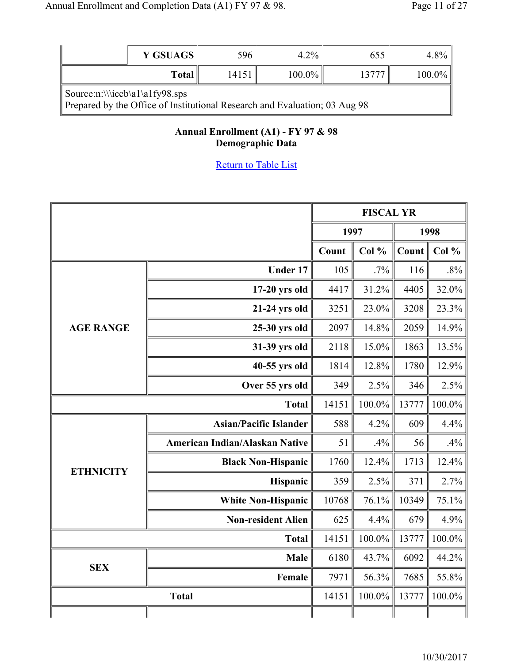|                                                                                                                    | <b>Y GSUAGS</b> | 596   | $4.2\%$   | 655        | 4.8%      |  |
|--------------------------------------------------------------------------------------------------------------------|-----------------|-------|-----------|------------|-----------|--|
| Total $\parallel$                                                                                                  |                 | 14151 | $100.0\%$ | $1377^{-}$ | $100.0\%$ |  |
| $\text{Source:n:}\iota_1\alfy98.sys$<br>Prepared by the Office of Institutional Research and Evaluation; 03 Aug 98 |                 |       |           |            |           |  |

### **Annual Enrollment (A1) - FY 97 & 98 Demographic Data**

|                  |                                |              | <b>FISCAL YR</b> |       |        |
|------------------|--------------------------------|--------------|------------------|-------|--------|
|                  |                                | 1997<br>1998 |                  |       |        |
|                  |                                | Count        | Col %            | Count | Col %  |
|                  | <b>Under 17</b>                | 105          | .7%              | 116   | $.8\%$ |
|                  | $17-20$ yrs old                | 4417         | 31.2%            | 4405  | 32.0%  |
|                  | 21-24 yrs old                  | 3251         | 23.0%            | 3208  | 23.3%  |
| <b>AGE RANGE</b> | 25-30 yrs old                  | 2097         | 14.8%            | 2059  | 14.9%  |
|                  | 31-39 yrs old                  | 2118         | 15.0%            | 1863  | 13.5%  |
|                  | 40-55 yrs old                  | 1814         | 12.8%            | 1780  | 12.9%  |
|                  | Over 55 yrs old                | 349          | 2.5%             | 346   | 2.5%   |
|                  | <b>Total</b>                   | 14151        | 100.0%           | 13777 | 100.0% |
|                  | <b>Asian/Pacific Islander</b>  | 588          | 4.2%             | 609   | 4.4%   |
|                  | American Indian/Alaskan Native | 51           | .4%              | 56    | .4%    |
| <b>ETHNICITY</b> | <b>Black Non-Hispanic</b>      | 1760         | 12.4%            | 1713  | 12.4%  |
|                  | Hispanic                       | 359          | 2.5%             | 371   | 2.7%   |
|                  | <b>White Non-Hispanic</b>      | 10768        | 76.1%            | 10349 | 75.1%  |
|                  | <b>Non-resident Alien</b>      | 625          | 4.4%             | 679   | 4.9%   |
|                  | <b>Total</b>                   | 14151        | 100.0%           | 13777 | 100.0% |
| <b>SEX</b>       | <b>Male</b>                    | 6180         | 43.7%            | 6092  | 44.2%  |
|                  | Female                         | 7971         | 56.3%            | 7685  | 55.8%  |
|                  | <b>Total</b>                   | 14151        | 100.0%           | 13777 | 100.0% |
|                  |                                |              |                  |       |        |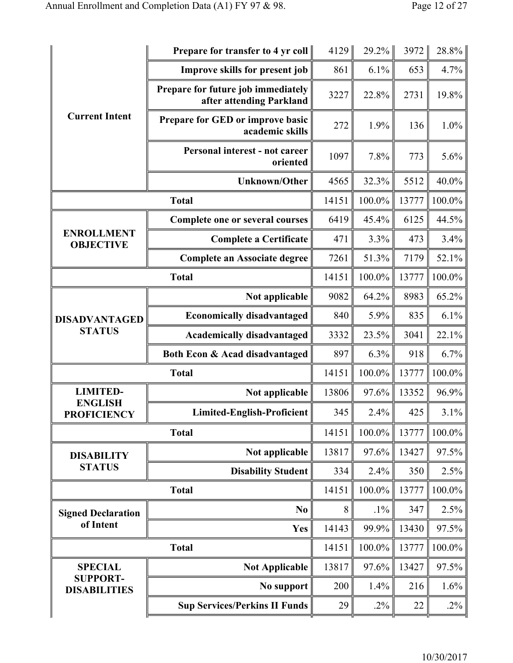|                                        | <b>Prepare for transfer to 4 yr coll</b>                       | 4129  | $29.2\%$ | 3972  | 28.8%   |
|----------------------------------------|----------------------------------------------------------------|-------|----------|-------|---------|
|                                        | <b>Improve skills for present job</b>                          | 861   | 6.1%     | 653   | 4.7%    |
|                                        | Prepare for future job immediately<br>after attending Parkland | 3227  | 22.8%    | 2731  | 19.8%   |
| <b>Current Intent</b>                  | Prepare for GED or improve basic<br>academic skills            | 272   | 1.9%     | 136   | $1.0\%$ |
|                                        | Personal interest - not career<br>oriented                     | 1097  | 7.8%     | 773   | 5.6%    |
|                                        | <b>Unknown/Other</b>                                           | 4565  | 32.3%    | 5512  | 40.0%   |
|                                        | <b>Total</b>                                                   | 14151 | 100.0%   | 13777 | 100.0%  |
|                                        | Complete one or several courses                                | 6419  | 45.4%    | 6125  | 44.5%   |
| <b>ENROLLMENT</b><br><b>OBJECTIVE</b>  | <b>Complete a Certificate</b>                                  | 471   | 3.3%     | 473   | 3.4%    |
|                                        | <b>Complete an Associate degree</b>                            | 7261  | 51.3%    | 7179  | 52.1%   |
|                                        | <b>Total</b>                                                   | 14151 | 100.0%   | 13777 | 100.0%  |
|                                        | Not applicable                                                 | 9082  | 64.2%    | 8983  | 65.2%   |
| <b>DISADVANTAGED</b>                   | <b>Economically disadvantaged</b>                              | 840   | 5.9%     | 835   | 6.1%    |
| <b>STATUS</b>                          | <b>Academically disadvantaged</b>                              | 3332  | 23.5%    | 3041  | 22.1%   |
|                                        | Both Econ & Acad disadvantaged                                 | 897   | 6.3%     | 918   | 6.7%    |
|                                        | <b>Total</b>                                                   | 14151 | 100.0%   | 13777 | 100.0%  |
| <b>LIMITED-</b><br><b>ENGLISH</b>      | Not applicable                                                 | 13806 | 97.6%    | 13352 | 96.9%   |
| <b>PROFICIENCY</b>                     | Limited-English-Proficient                                     | 345   | $2.4\%$  | 425   | $3.1\%$ |
|                                        | <b>Total</b>                                                   | 14151 | 100.0%   | 13777 | 100.0%  |
| <b>DISABILITY</b>                      | Not applicable                                                 | 13817 | 97.6%    | 13427 | 97.5%   |
| <b>STATUS</b>                          | <b>Disability Student</b>                                      | 334   | 2.4%     | 350   | 2.5%    |
|                                        | <b>Total</b>                                                   | 14151 | 100.0%   | 13777 | 100.0%  |
| <b>Signed Declaration</b>              | N <sub>0</sub>                                                 | 8     | $.1\%$   | 347   | 2.5%    |
| of Intent                              | Yes                                                            | 14143 | 99.9%    | 13430 | 97.5%   |
|                                        | <b>Total</b>                                                   | 14151 | 100.0%   | 13777 | 100.0%  |
| <b>SPECIAL</b>                         | <b>Not Applicable</b>                                          | 13817 | 97.6%    | 13427 | 97.5%   |
| <b>SUPPORT-</b><br><b>DISABILITIES</b> | No support                                                     | 200   | 1.4%     | 216   | 1.6%    |
|                                        | <b>Sup Services/Perkins II Funds</b>                           | 29    | $.2\%$   | 22    | $.2\%$  |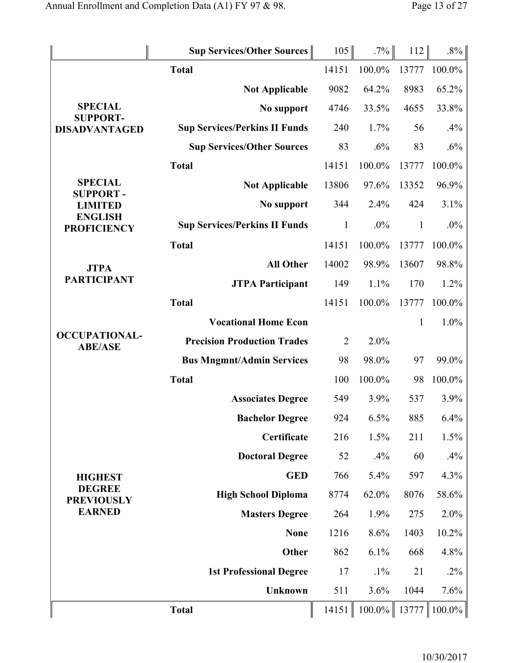|                                        | <b>Sup Services/Other Sources</b>    |                  | 105            | .7%       | 112          | $.8\%$ |
|----------------------------------------|--------------------------------------|------------------|----------------|-----------|--------------|--------|
|                                        | <b>Total</b>                         |                  | 14151          | 100.0%    | 13777        | 100.0% |
|                                        | <b>Not Applicable</b>                |                  | 9082           | 64.2%     | 8983         | 65.2%  |
| <b>SPECIAL</b><br><b>SUPPORT-</b>      |                                      | No support       | 4746           | 33.5%     | 4655         | 33.8%  |
| <b>DISADVANTAGED</b>                   | <b>Sup Services/Perkins II Funds</b> |                  | 240            | 1.7%      | 56           | .4%    |
|                                        | <b>Sup Services/Other Sources</b>    |                  | 83             | .6%       | 83           | .6%    |
|                                        | <b>Total</b>                         |                  | 14151          | 100.0%    | 13777        | 100.0% |
| <b>SPECIAL</b><br><b>SUPPORT-</b>      | <b>Not Applicable</b>                |                  | 13806          | 97.6%     | 13352        | 96.9%  |
| <b>LIMITED</b>                         |                                      | No support       | 344            | 2.4%      | 424          | 3.1%   |
| <b>ENGLISH</b><br><b>PROFICIENCY</b>   | <b>Sup Services/Perkins II Funds</b> |                  | $\mathbf{1}$   | .0%       | $\mathbf{1}$ | $.0\%$ |
|                                        | <b>Total</b>                         |                  | 14151          | 100.0%    | 13777        | 100.0% |
| <b>JTPA</b>                            |                                      | <b>All Other</b> | 14002          | 98.9%     | 13607        | 98.8%  |
| <b>PARTICIPANT</b>                     | <b>JTPA Participant</b>              |                  | 149            | 1.1%      | 170          | 1.2%   |
|                                        | <b>Total</b>                         |                  | 14151          | 100.0%    | 13777        | 100.0% |
|                                        | <b>Vocational Home Econ</b>          |                  |                |           | $\mathbf{1}$ | 1.0%   |
| <b>OCCUPATIONAL-</b><br><b>ABE/ASE</b> | <b>Precision Production Trades</b>   |                  | $\overline{2}$ | 2.0%      |              |        |
|                                        | <b>Bus Mngmnt/Admin Services</b>     |                  | 98             | 98.0%     | 97           | 99.0%  |
|                                        | <b>Total</b>                         |                  | 100            | 100.0%    | 98           | 100.0% |
|                                        | <b>Associates Degree</b>             |                  | 549            | 3.9%      | 537          | 3.9%   |
|                                        | <b>Bachelor Degree</b>               |                  | 924            | $6.5\%$   | 885          | 6.4%   |
|                                        |                                      | Certificate      | 216            | 1.5%      | 211          | 1.5%   |
|                                        | <b>Doctoral Degree</b>               |                  | 52             | .4%       | 60           | .4%    |
| <b>HIGHEST</b>                         |                                      | <b>GED</b>       | 766            | 5.4%      | 597          | 4.3%   |
| <b>DEGREE</b><br><b>PREVIOUSLY</b>     | <b>High School Diploma</b>           |                  | 8774           | 62.0%     | 8076         | 58.6%  |
| <b>EARNED</b>                          | <b>Masters Degree</b>                |                  | 264            | 1.9%      | 275          | 2.0%   |
|                                        |                                      | <b>None</b>      | 1216           | 8.6%      | 1403         | 10.2%  |
|                                        |                                      | Other            | 862            | 6.1%      | 668          | 4.8%   |
|                                        | <b>1st Professional Degree</b>       |                  | 17             | $.1\%$    | 21           | $.2\%$ |
|                                        |                                      | <b>Unknown</b>   | 511            | 3.6%      | 1044         | 7.6%   |
|                                        | <b>Total</b>                         |                  | 14151          | $100.0\%$ | 13777        | 100.0% |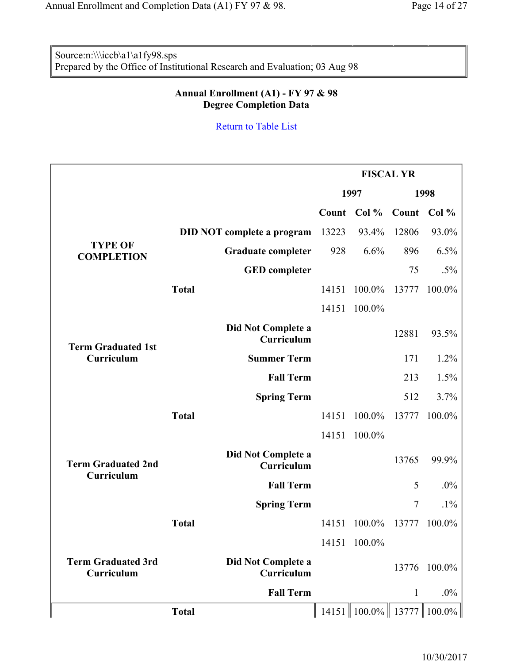Source:n:\\\iccb\a1\a1fy98.sps Prepared by the Office of Institutional Research and Evaluation; 03 Aug 98

### **Annual Enrollment (A1) - FY 97 & 98 Degree Completion Data**

|                                         |              |                                   |       |              | <b>FISCAL YR</b> |                                 |
|-----------------------------------------|--------------|-----------------------------------|-------|--------------|------------------|---------------------------------|
|                                         |              |                                   |       | 1997         |                  | 1998                            |
|                                         |              |                                   | Count | Col %        | Count            | Col %                           |
|                                         |              | <b>DID NOT complete a program</b> | 13223 | 93.4%        | 12806            | 93.0%                           |
| <b>TYPE OF</b><br><b>COMPLETION</b>     |              | <b>Graduate completer</b>         | 928   | 6.6%         | 896              | 6.5%                            |
|                                         |              | <b>GED</b> completer              |       |              | 75               | $.5\%$                          |
|                                         | <b>Total</b> |                                   | 14151 | 100.0%       | 13777            | 100.0%                          |
|                                         |              |                                   | 14151 | 100.0%       |                  |                                 |
| <b>Term Graduated 1st</b>               |              | Did Not Complete a<br>Curriculum  |       |              | 12881            | 93.5%                           |
| Curriculum                              |              | <b>Summer Term</b>                |       |              | 171              | 1.2%                            |
|                                         |              | <b>Fall Term</b>                  |       |              | 213              | 1.5%                            |
|                                         |              | <b>Spring Term</b>                |       |              | 512              | 3.7%                            |
|                                         | <b>Total</b> |                                   | 14151 | 100.0%       | 13777            | 100.0%                          |
|                                         |              |                                   | 14151 | $100.0\%$    |                  |                                 |
| <b>Term Graduated 2nd</b><br>Curriculum |              | Did Not Complete a<br>Curriculum  |       |              | 13765            | 99.9%                           |
|                                         |              | <b>Fall Term</b>                  |       |              | 5                | $.0\%$                          |
|                                         |              | <b>Spring Term</b>                |       |              | 7                | $.1\%$                          |
|                                         | <b>Total</b> |                                   | 14151 | 100.0%       | 13777            | 100.0%                          |
|                                         |              |                                   |       | 14151 100.0% |                  |                                 |
| <b>Term Graduated 3rd</b><br>Curriculum |              | Did Not Complete a<br>Curriculum  |       |              | 13776            | $100.0\%$                       |
|                                         |              | <b>Fall Term</b>                  |       |              | 1                | $.0\%$                          |
|                                         | <b>Total</b> |                                   |       |              |                  | 14151   100.0%   13777   100.0% |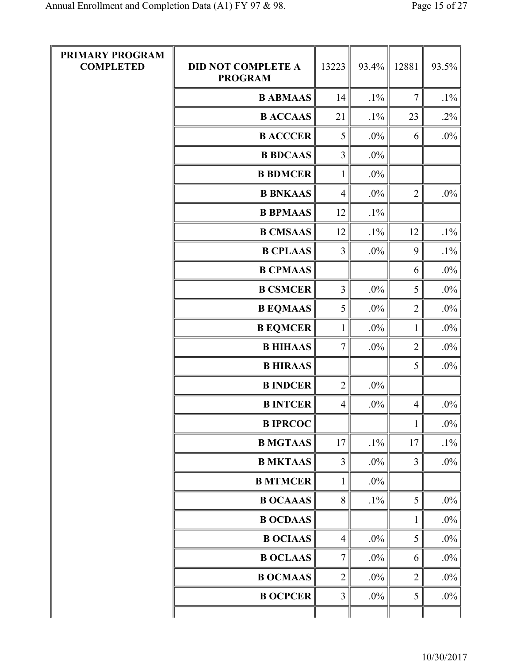| PRIMARY PROGRAM<br><b>COMPLETED</b> | <b>DID NOT COMPLETE A</b><br><b>PROGRAM</b> | 13223           | 93.4%  | 12881          | 93.5%  |
|-------------------------------------|---------------------------------------------|-----------------|--------|----------------|--------|
|                                     | <b>B ABMAAS</b>                             | 14              | $.1\%$ | $\overline{7}$ | $.1\%$ |
|                                     | <b>B ACCAAS</b>                             | 21              | $.1\%$ | 23             | $.2\%$ |
|                                     | <b>B ACCCER</b>                             | 5               | $.0\%$ | 6              | $.0\%$ |
|                                     | <b>B BDCAAS</b>                             | $\overline{3}$  | $.0\%$ |                |        |
|                                     | <b>B BDMCER</b>                             | $\mathbf{1}$    | $.0\%$ |                |        |
|                                     | <b>B BNKAAS</b>                             | $\overline{4}$  | $.0\%$ | $\overline{2}$ | .0%    |
|                                     | <b>B BPMAAS</b>                             | 12              | $.1\%$ |                |        |
|                                     | <b>B CMSAAS</b>                             | 12              | $.1\%$ | 12             | $.1\%$ |
|                                     | <b>B CPLAAS</b>                             | $\overline{3}$  | $.0\%$ | 9              | $.1\%$ |
|                                     | <b>B CPMAAS</b>                             |                 |        | 6              | $.0\%$ |
|                                     | <b>B CSMCER</b>                             | 3               | $.0\%$ | 5              | $.0\%$ |
|                                     | <b>B EQMAAS</b>                             | 5               | $.0\%$ | $\overline{2}$ | .0%    |
|                                     | <b>B EQMCER</b>                             | $\mathbf{1}$    | $.0\%$ | $\mathbf{1}$   | $.0\%$ |
|                                     | <b>B HIHAAS</b>                             | $7\overline{ }$ | $.0\%$ | $\overline{2}$ | $.0\%$ |
|                                     | <b>B HIRAAS</b>                             |                 |        | 5              | .0%    |
|                                     | <b>B INDCER</b>                             | $\overline{2}$  | $.0\%$ |                |        |
|                                     | <b>B INTCER</b>                             | $\overline{4}$  | $.0\%$ | $\overline{4}$ | .0%    |
|                                     | <b>B IPRCOC</b>                             |                 |        | $\mathbf{1}$   | $.0\%$ |
|                                     | <b>B MGTAAS</b>                             | 17              | $.1\%$ | 17             | $.1\%$ |
|                                     | <b>B MKTAAS</b>                             | 3               | $.0\%$ | $\overline{3}$ | $.0\%$ |
|                                     | <b>B MTMCER</b>                             | $\mathbf{1}$    | $.0\%$ |                |        |
|                                     | <b>B OCAAAS</b>                             | 8               | $.1\%$ | 5              | $.0\%$ |
|                                     | <b>B OCDAAS</b>                             |                 |        | $\mathbf{1}$   | .0%    |
|                                     | <b>B OCIAAS</b>                             | $\overline{4}$  | $.0\%$ | 5              | $.0\%$ |
|                                     | <b>B OCLAAS</b>                             | $\tau$          | $.0\%$ | 6              | $.0\%$ |
|                                     | <b>B OCMAAS</b>                             | $\overline{2}$  | $.0\%$ | $\overline{2}$ | $.0\%$ |
|                                     | <b>B OCPCER</b>                             | $\overline{3}$  | $.0\%$ | 5              | $.0\%$ |
|                                     |                                             |                 |        |                |        |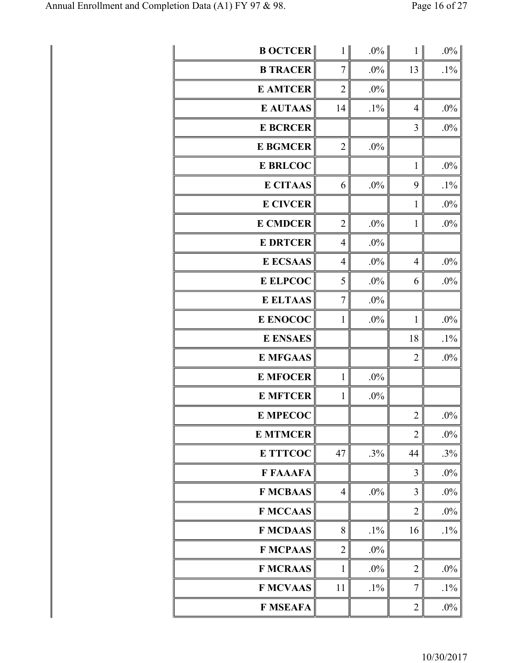| <b>B OCTCER</b> | 1 <sup>1</sup> | $.0\%$ | $\mathbf{1}$   | $.0\%$ |
|-----------------|----------------|--------|----------------|--------|
| <b>B TRACER</b> | 7              | $.0\%$ | 13             | $.1\%$ |
| <b>E AMTCER</b> | $\overline{2}$ | .0%    |                |        |
| <b>E AUTAAS</b> | 14             | $.1\%$ | $\overline{4}$ | $.0\%$ |
| <b>E BCRCER</b> |                |        | 3              | $.0\%$ |
| <b>E BGMCER</b> | $\overline{2}$ | $.0\%$ |                |        |
| <b>E BRLCOC</b> |                |        | $\mathbf{1}$   | $.0\%$ |
| <b>E CITAAS</b> | 6              | .0%    | 9              | $.1\%$ |
| <b>E CIVCER</b> |                |        | $\mathbf{1}$   | .0%    |
| <b>E CMDCER</b> | $\overline{2}$ | $.0\%$ | $\mathbf{1}$   | $.0\%$ |
| <b>E DRTCER</b> | $\overline{4}$ | $.0\%$ |                |        |
| <b>E ECSAAS</b> | $\overline{4}$ | .0%    | $\overline{4}$ | $.0\%$ |
| <b>E ELPCOC</b> | 5              | $.0\%$ | 6              | $.0\%$ |
| <b>E ELTAAS</b> | $\overline{7}$ | .0%    |                |        |
| E ENOCOC        | $\mathbf{1}$   | $.0\%$ | $\mathbf{1}$   | $.0\%$ |
| <b>E ENSAES</b> |                |        | 18             | $.1\%$ |
| <b>E MFGAAS</b> |                |        | $\overline{2}$ | $.0\%$ |
| <b>E MFOCER</b> | $\mathbf{1}$   | $.0\%$ |                |        |
| <b>E MFTCER</b> | $\mathbf{1}$   | .0%    |                |        |
| <b>E MPECOC</b> |                |        | $\overline{c}$ | $.0\%$ |
| <b>E MTMCER</b> |                |        | $\overline{2}$ | .0%    |
| <b>E TTTCOC</b> | 47             | .3%    | 44             | .3%    |
| <b>F FAAAFA</b> |                |        | 3              | $.0\%$ |
| <b>F MCBAAS</b> | $\overline{4}$ | $.0\%$ | 3              | $.0\%$ |
| <b>F MCCAAS</b> |                |        | $\overline{2}$ | .0%    |
| <b>F MCDAAS</b> | 8              | $.1\%$ | 16             | $.1\%$ |
| <b>F MCPAAS</b> | $\overline{2}$ | $.0\%$ |                |        |
| <b>F MCRAAS</b> | 1              | $.0\%$ | $\overline{2}$ | .0%    |
| <b>F MCVAAS</b> | 11             | $.1\%$ | 7              | $.1\%$ |
| <b>F MSEAFA</b> |                |        | $\overline{2}$ | $.0\%$ |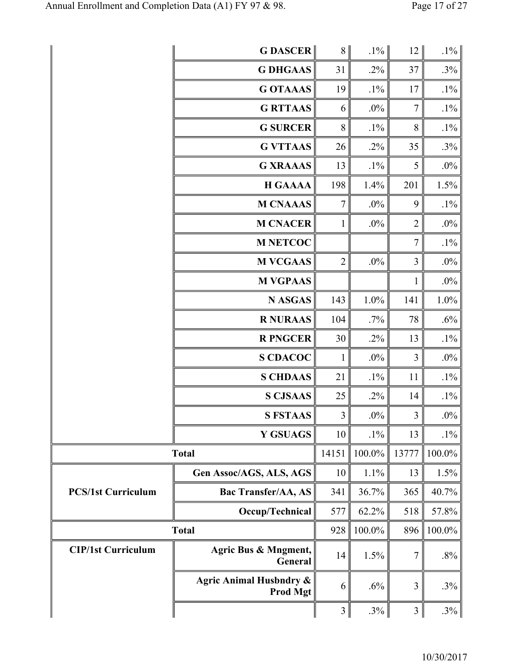|                           | <b>GDASCER</b>                                        | 8 <sup>1</sup> | $.1\%$ | 12             | $.1\%$ |
|---------------------------|-------------------------------------------------------|----------------|--------|----------------|--------|
|                           | <b>G DHGAAS</b>                                       | 31             | $.2\%$ | 37             | $.3\%$ |
|                           | <b>G OTAAAS</b>                                       | 19             | $.1\%$ | 17             | $.1\%$ |
|                           | <b>G RTTAAS</b>                                       | 6              | $.0\%$ | $\tau$         | $.1\%$ |
|                           | <b>G SURCER</b>                                       | $8\,$          | $.1\%$ | $8\,$          | $.1\%$ |
|                           | <b>G VTTAAS</b>                                       | 26             | $.2\%$ | 35             | $.3\%$ |
|                           | <b>G XRAAAS</b>                                       | 13             | $.1\%$ | 5              | $.0\%$ |
|                           | <b>H GAAAA</b>                                        | 198            | 1.4%   | 201            | 1.5%   |
|                           | <b>M CNAAAS</b>                                       | $\tau$         | $.0\%$ | 9              | $.1\%$ |
|                           | <b>M CNACER</b>                                       | $\mathbf{1}$   | $.0\%$ | $\overline{2}$ | $.0\%$ |
|                           | <b>M NETCOC</b>                                       |                |        | $\tau$         | $.1\%$ |
|                           | <b>M VCGAAS</b>                                       | $\overline{2}$ | $.0\%$ | 3              | $.0\%$ |
|                           | <b>M VGPAAS</b>                                       |                |        | $\mathbf{1}$   | $.0\%$ |
|                           | <b>N ASGAS</b>                                        | 143            | 1.0%   | 141            | 1.0%   |
|                           | <b>R NURAAS</b>                                       | 104            | $.7\%$ | 78             | $.6\%$ |
|                           | <b>R PNGCER</b>                                       | 30             | $.2\%$ | 13             | $.1\%$ |
|                           | <b>S CDACOC</b>                                       | $\mathbf{1}$   | $.0\%$ | $\mathfrak{Z}$ | $.0\%$ |
|                           | <b>S CHDAAS</b>                                       | 21             | $.1\%$ | 11             | $.1\%$ |
|                           | <b>S CJSAAS</b>                                       | 25             | $.2\%$ | 14             | $.1\%$ |
|                           | <b>S FSTAAS</b>                                       | $\overline{3}$ | $.0\%$ | 3 <sup>1</sup> | $.0\%$ |
|                           | <b>Y GSUAGS</b>                                       | 10             | $.1\%$ | 13             | $.1\%$ |
|                           | <b>Total</b>                                          | 14151          | 100.0% | 13777          | 100.0% |
|                           | Gen Assoc/AGS, ALS, AGS                               | 10             | 1.1%   | 13             | 1.5%   |
| <b>PCS/1st Curriculum</b> | <b>Bac Transfer/AA, AS</b>                            | 341            | 36.7%  | 365            | 40.7%  |
|                           | Occup/Technical                                       | 577            | 62.2%  | 518            | 57.8%  |
|                           | <b>Total</b>                                          | 928            | 100.0% | 896            | 100.0% |
| <b>CIP/1st Curriculum</b> | Agric Bus & Mngment,<br>General                       | 14             | 1.5%   | 7              | $.8\%$ |
|                           | <b>Agric Animal Husbndry &amp;</b><br><b>Prod Mgt</b> | 6              | .6%    | 3              | $.3\%$ |
|                           |                                                       | 3              | $.3\%$ | 3              | $.3\%$ |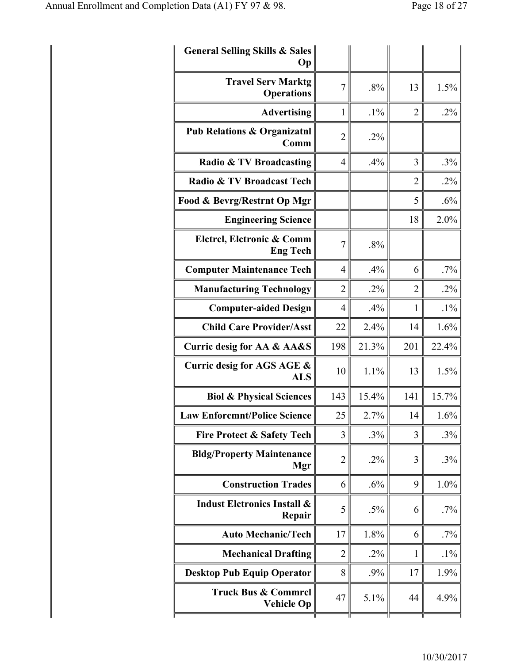| <b>General Selling Skills &amp; Sales</b><br>Oр  |                |        |                |        |
|--------------------------------------------------|----------------|--------|----------------|--------|
| <b>Travel Serv Marktg</b><br><b>Operations</b>   | 7              | .8%    | 13             | 1.5%   |
| <b>Advertising</b>                               | 1              | $.1\%$ | $\overline{2}$ | $.2\%$ |
| <b>Pub Relations &amp; Organizatnl</b><br>Comm   | $\overline{2}$ | $.2\%$ |                |        |
| Radio & TV Broadcasting                          | $\overline{4}$ | .4%    | 3              | .3%    |
| Radio & TV Broadcast Tech                        |                |        | $\overline{2}$ | $.2\%$ |
| Food & Bevrg/Restrnt Op Mgr                      |                |        | 5              | .6%    |
| <b>Engineering Science</b>                       |                |        | 18             | 2.0%   |
| Elctrcl, Elctronic & Comm<br><b>Eng Tech</b>     | $\overline{7}$ | .8%    |                |        |
| <b>Computer Maintenance Tech</b>                 | $\overline{4}$ | .4%    | 6              | .7%    |
| <b>Manufacturing Technology</b>                  | $\overline{2}$ | $.2\%$ | $\overline{2}$ | $.2\%$ |
| <b>Computer-aided Design</b>                     | 4              | .4%    | 1              | $.1\%$ |
| <b>Child Care Provider/Asst</b>                  | 22             | 2.4%   | 14             | 1.6%   |
| Curric desig for AA & AA&S                       | 198            | 21.3%  | 201            | 22.4%  |
| Curric desig for AGS AGE &<br><b>ALS</b>         | 10             | 1.1%   | 13             | 1.5%   |
| <b>Biol &amp; Physical Sciences</b>              | 143            | 15.4%  | 141            | 15.7%  |
| <b>Law Enforcmnt/Police Science</b>              | 25             | 2.7%   | 14             | 1.6%   |
| <b>Fire Protect &amp; Safety Tech</b>            | 3              | .3%    | 3              | .3%    |
| <b>Bldg/Property Maintenance</b><br>Mgr          | $\overline{2}$ | $.2\%$ | 3              | .3%    |
| <b>Construction Trades</b>                       | 6              | .6%    | 9              | 1.0%   |
| <b>Indust Eletronics Install &amp;</b><br>Repair | 5              | $.5\%$ | 6              | $.7\%$ |
| <b>Auto Mechanic/Tech</b>                        | 17             | 1.8%   | 6              | .7%    |
| <b>Mechanical Drafting</b>                       |                | $.2\%$ | 1              | $.1\%$ |
|                                                  | 2              |        |                |        |
| <b>Desktop Pub Equip Operator</b>                | 8              | .9%    | 17             | 1.9%   |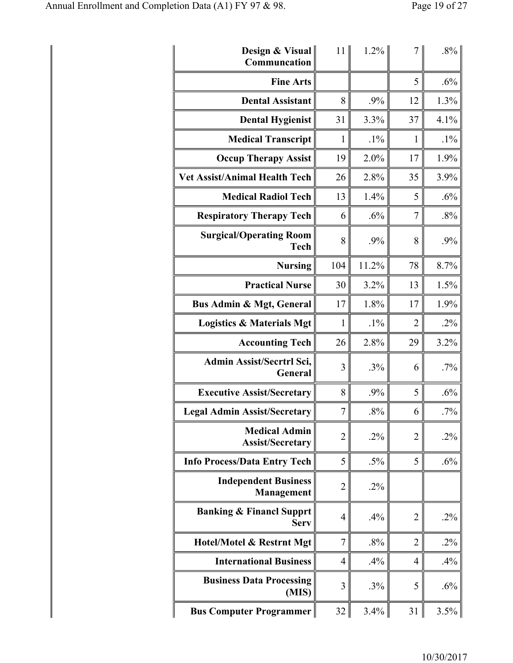| Design & Visual<br>Communcation                    | 11               | 1.2%   |                | $.8\%$ |
|----------------------------------------------------|------------------|--------|----------------|--------|
| <b>Fine Arts</b>                                   |                  |        | 5              | .6%    |
| <b>Dental Assistant</b>                            | 8                | .9%    | 12             | 1.3%   |
| <b>Dental Hygienist</b>                            | 31               | 3.3%   | 37             | 4.1%   |
| <b>Medical Transcript</b>                          | $\mathbf{1}$     | $.1\%$ | $\mathbf{1}$   | $.1\%$ |
| <b>Occup Therapy Assist</b>                        | 19               | 2.0%   | 17             | 1.9%   |
| <b>Vet Assist/Animal Health Tech</b>               | 26               | 2.8%   | 35             | 3.9%   |
| <b>Medical Radiol Tech</b>                         | 13               | 1.4%   | 5              | .6%    |
| <b>Respiratory Therapy Tech</b>                    | 6                | .6%    | $\overline{7}$ | .8%    |
| <b>Surgical/Operating Room</b><br><b>Tech</b>      | 8                | .9%    | 8              | .9%    |
| <b>Nursing</b>                                     | 104              | 11.2%  | 78             | 8.7%   |
| <b>Practical Nurse</b>                             | 30               | 3.2%   | 13             | 1.5%   |
| <b>Bus Admin &amp; Mgt, General</b>                | 17               | 1.8%   | 17             | 1.9%   |
| <b>Logistics &amp; Materials Mgt</b>               | $\mathbf{1}$     | $.1\%$ | $\overline{2}$ | $.2\%$ |
| <b>Accounting Tech</b>                             | 26               | 2.8%   | 29             | 3.2%   |
| Admin Assist/Secrtrl Sci,<br><b>General</b>        | 3                | .3%    | 6              | .7%    |
| <b>Executive Assist/Secretary</b>                  | 8                | .9%    | 5              | .6%    |
| <b>Legal Admin Assist/Secretary</b>                | $\boldsymbol{7}$ | $.8\%$ | 6              | $.7\%$ |
| <b>Medical Admin</b><br><b>Assist/Secretary</b>    | $\overline{2}$   | .2%    | $\overline{2}$ | $.2\%$ |
| <b>Info Process/Data Entry Tech</b>                | 5                | $.5\%$ | 5              | .6%    |
| <b>Independent Business</b><br><b>Management</b>   | $\overline{c}$   | .2%    |                |        |
| <b>Banking &amp; Financl Supprt</b><br><b>Serv</b> | $\overline{4}$   | .4%    | $\overline{2}$ | .2%    |
| Hotel/Motel & Restrnt Mgt                          | $\overline{7}$   | .8%    | $\overline{2}$ | .2%    |
| <b>International Business</b>                      | 4                | .4%    | $\overline{4}$ | .4%    |
| <b>Business Data Processing</b><br>(MIS)           | 3                | .3%    | 5              | .6%    |
| <b>Bus Computer Programmer</b>                     | 32               | 3.4%   | 31             | 3.5%   |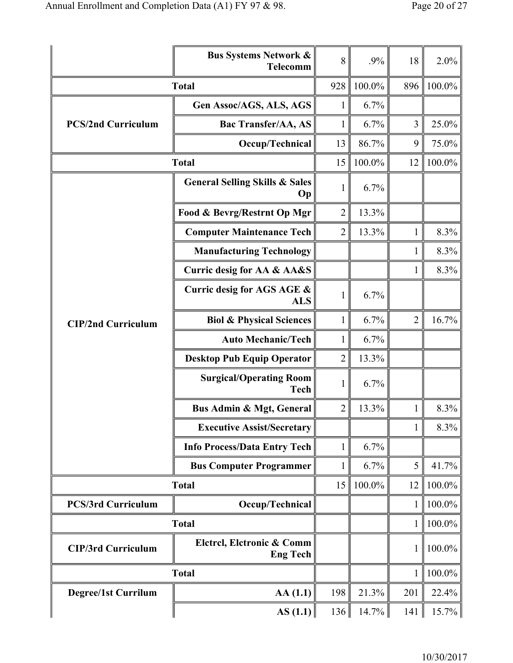|                            | <b>Bus Systems Network &amp;</b><br><b>Telecomm</b> | 8              | .9%       | 18             | 2.0%     |
|----------------------------|-----------------------------------------------------|----------------|-----------|----------------|----------|
|                            | <b>Total</b>                                        | 928            | 100.0%    | 896            | 100.0%   |
|                            | Gen Assoc/AGS, ALS, AGS                             | $\mathbf{1}$   | 6.7%      |                |          |
| <b>PCS/2nd Curriculum</b>  | <b>Bac Transfer/AA, AS</b>                          | $\mathbf{1}$   | 6.7%      | 3              | 25.0%    |
|                            | Occup/Technical                                     | 13             | 86.7%     | 9              | 75.0%    |
|                            | <b>Total</b>                                        | 15             | 100.0%    | 12             | 100.0%   |
|                            | <b>General Selling Skills &amp; Sales</b><br>Op     | 1              | 6.7%      |                |          |
|                            | Food & Bevrg/Restrnt Op Mgr                         | $\overline{2}$ | 13.3%     |                |          |
|                            | <b>Computer Maintenance Tech</b>                    | $\overline{2}$ | 13.3%     | 1              | 8.3%     |
|                            | <b>Manufacturing Technology</b>                     |                |           | 1              | 8.3%     |
|                            | Curric desig for AA & AA&S                          |                |           | 1              | 8.3%     |
|                            | Curric desig for AGS AGE &<br><b>ALS</b>            | 1              | 6.7%      |                |          |
| <b>CIP/2nd Curriculum</b>  | <b>Biol &amp; Physical Sciences</b>                 | 1              | 6.7%      | $\overline{2}$ | 16.7%    |
|                            | <b>Auto Mechanic/Tech</b>                           | 1              | 6.7%      |                |          |
|                            | <b>Desktop Pub Equip Operator</b>                   | 2              | 13.3%     |                |          |
|                            | <b>Surgical/Operating Room</b><br>Tech              | 1              | 6.7%      |                |          |
|                            | <b>Bus Admin &amp; Mgt, General</b>                 | $\overline{2}$ | 13.3%     | $\mathbf{1}$   | 8.3%     |
|                            | <b>Executive Assist/Secretary</b>                   |                |           | $\mathbf{1}$   | 8.3%     |
|                            | <b>Info Process/Data Entry Tech</b>                 | 1              | 6.7%      |                |          |
|                            | <b>Bus Computer Programmer</b>                      | 1              | 6.7%      | 5              | 41.7%    |
|                            | <b>Total</b>                                        | 15             | $100.0\%$ | 12             | 100.0%   |
| <b>PCS/3rd Curriculum</b>  | Occup/Technical                                     |                |           | $\mathbf{1}$   | 100.0%   |
|                            | <b>Total</b>                                        |                |           | $\mathbf{1}$   | 100.0%   |
| <b>CIP/3rd Curriculum</b>  | Elctrcl, Elctronic & Comm<br><b>Eng Tech</b>        |                |           | 1              | 100.0%   |
|                            | <b>Total</b>                                        |                |           | $\mathbf{1}$   | 100.0%   |
| <b>Degree/1st Currilum</b> | AA(1.1)                                             | 198            | 21.3%     | 201            | 22.4%    |
|                            | $\ AS(1.1)\ $                                       | 136            | $14.7\%$  | 141            | $15.7\%$ |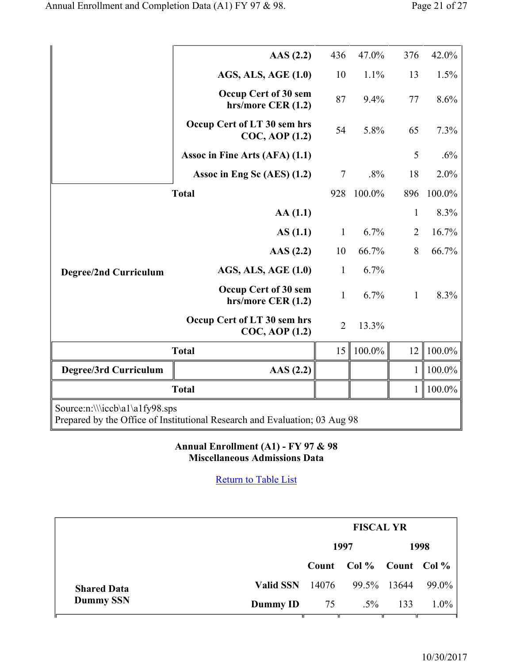|                                | $\text{AAS}$ (2.2)                                                         | 436            | 47.0%  | 376            | 42.0%     |
|--------------------------------|----------------------------------------------------------------------------|----------------|--------|----------------|-----------|
|                                | <b>AGS, ALS, AGE (1.0)</b>                                                 | 10             | 1.1%   | 13             | 1.5%      |
|                                | Occup Cert of 30 sem<br>hrs/more CER (1.2)                                 | 87             | 9.4%   | 77             | 8.6%      |
|                                | Occup Cert of LT 30 sem hrs<br>$COC$ , AOP $(1.2)$                         | 54             | 5.8%   | 65             | 7.3%      |
|                                | Assoc in Fine Arts (AFA) (1.1)                                             |                |        | 5              | .6%       |
|                                | Assoc in Eng Sc (AES) (1.2)                                                | $\tau$         | .8%    | 18             | 2.0%      |
|                                | <b>Total</b>                                                               | 928            | 100.0% | 896            | 100.0%    |
|                                | AA(1.1)                                                                    |                |        | $\mathbf{1}$   | 8.3%      |
|                                | AS(1.1)                                                                    | $\mathbf{1}$   | 6.7%   | $\overline{2}$ | 16.7%     |
|                                | $\text{AAS}$ (2.2)                                                         | 10             | 66.7%  | 8              | 66.7%     |
| <b>Degree/2nd Curriculum</b>   | AGS, ALS, AGE (1.0)                                                        | $\mathbf{1}$   | 6.7%   |                |           |
|                                | Occup Cert of 30 sem<br>hrs/more CER (1.2)                                 | $\mathbf{1}$   | 6.7%   | $\mathbf{1}$   | 8.3%      |
|                                | Occup Cert of LT 30 sem hrs<br>$COC$ , AOP $(1.2)$                         | $\overline{2}$ | 13.3%  |                |           |
|                                | <b>Total</b>                                                               | 15             | 100.0% | 12             | 100.0%    |
| Degree/3rd Curriculum          | AAS(2.2)                                                                   |                |        | $\mathbf{1}$   | $100.0\%$ |
|                                | <b>Total</b>                                                               |                |        | $\mathbf{1}$   | 100.0%    |
| Source:n:\\\iccb\a1\a1fy98.sps | Prepared by the Office of Institutional Research and Evaluation; 03 Aug 98 |                |        |                |           |

**Annual Enrollment (A1) - FY 97 & 98 Miscellaneous Admissions Data**

| 1997<br>Count Col % Count Col %         |               | 1998    |
|-----------------------------------------|---------------|---------|
|                                         |               |         |
|                                         |               |         |
| Valid SSN $14076$<br><b>Shared Data</b> | 99.5% 13644   | 99.0%   |
| <b>Dummy SSN</b><br>Dummy ID<br>75      | $.5\%$<br>133 | $1.0\%$ |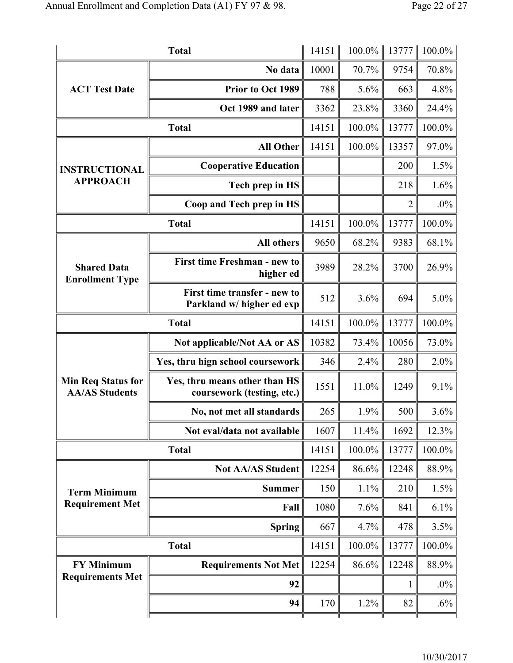|                                                    | <b>Total</b>                                                | 14151 | $100.0\%$ | 13777 | 100.0% |
|----------------------------------------------------|-------------------------------------------------------------|-------|-----------|-------|--------|
|                                                    | No data                                                     | 10001 | 70.7%     | 9754  | 70.8%  |
| <b>ACT Test Date</b>                               | Prior to Oct 1989                                           | 788   | 5.6%      | 663   | 4.8%   |
|                                                    | Oct 1989 and later                                          | 3362  | 23.8%     | 3360  | 24.4%  |
|                                                    | <b>Total</b>                                                | 14151 | 100.0%    | 13777 | 100.0% |
|                                                    | <b>All Other</b>                                            | 14151 | 100.0%    | 13357 | 97.0%  |
| <b>INSTRUCTIONAL</b>                               | <b>Cooperative Education</b>                                |       |           | 200   | 1.5%   |
| <b>APPROACH</b>                                    | Tech prep in HS                                             |       |           | 218   | 1.6%   |
|                                                    | Coop and Tech prep in HS                                    |       |           | 2     | $.0\%$ |
|                                                    | <b>Total</b>                                                | 14151 | 100.0%    | 13777 | 100.0% |
|                                                    | <b>All others</b>                                           | 9650  | 68.2%     | 9383  | 68.1%  |
| <b>Shared Data</b><br><b>Enrollment Type</b>       | First time Freshman - new to<br>higher ed                   | 3989  | 28.2%     | 3700  | 26.9%  |
|                                                    | First time transfer - new to<br>Parkland w/ higher ed exp   | 512   | 3.6%      | 694   | 5.0%   |
| <b>Total</b>                                       |                                                             | 14151 | 100.0%    | 13777 | 100.0% |
|                                                    | Not applicable/Not AA or AS                                 | 10382 | 73.4%     | 10056 | 73.0%  |
|                                                    | Yes, thru hign school coursework                            | 346   | 2.4%      | 280   | 2.0%   |
| <b>Min Req Status for</b><br><b>AA/AS Students</b> | Yes, thru means other than HS<br>coursework (testing, etc.) | 1551  | 11.0%     | 1249  | 9.1%   |
|                                                    | No, not met all standards                                   | 265   | 1.9%      | 500   | 3.6%   |
|                                                    | Not eval/data not available                                 | 1607  | 11.4%     | 1692  | 12.3%  |
|                                                    | <b>Total</b>                                                | 14151 | 100.0%    | 13777 | 100.0% |
|                                                    | <b>Not AA/AS Student</b>                                    | 12254 | 86.6%     | 12248 | 88.9%  |
| <b>Term Minimum</b><br><b>Requirement Met</b>      | <b>Summer</b>                                               | 150   | 1.1%      | 210   | 1.5%   |
|                                                    | Fall                                                        | 1080  | 7.6%      | 841   | 6.1%   |
|                                                    | <b>Spring</b>                                               | 667   | 4.7%      | 478   | 3.5%   |
| <b>Total</b>                                       |                                                             | 14151 | 100.0%    | 13777 | 100.0% |
| <b>FY Minimum</b>                                  | <b>Requirements Not Met</b>                                 | 12254 | 86.6%     | 12248 | 88.9%  |
| <b>Requirements Met</b>                            | 92                                                          |       |           | 1     | $.0\%$ |
|                                                    | 94                                                          | 170   | 1.2%      | 82    | $.6\%$ |
|                                                    |                                                             |       |           |       |        |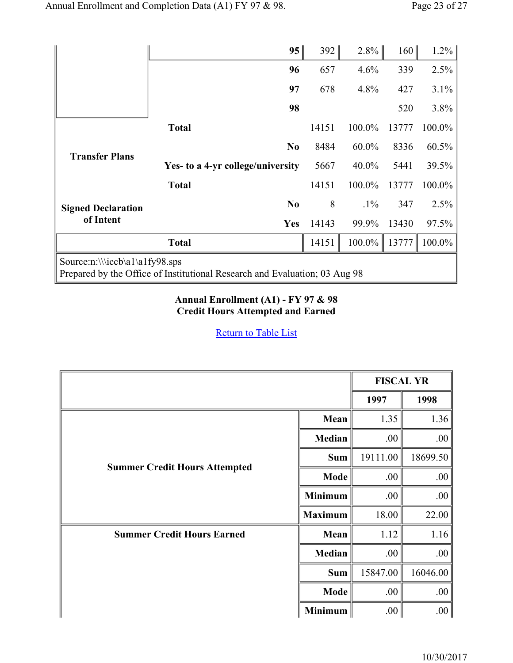|                                                                                                              |                                   | 95             | 392   | $2.8\%$ | 160   | 1.2%   |
|--------------------------------------------------------------------------------------------------------------|-----------------------------------|----------------|-------|---------|-------|--------|
|                                                                                                              |                                   | 96             | 657   | 4.6%    | 339   | 2.5%   |
|                                                                                                              |                                   | 97             | 678   | 4.8%    | 427   | 3.1%   |
|                                                                                                              |                                   | 98             |       |         | 520   | 3.8%   |
|                                                                                                              | <b>Total</b>                      |                | 14151 | 100.0%  | 13777 | 100.0% |
| <b>Transfer Plans</b>                                                                                        |                                   | N <sub>0</sub> | 8484  | 60.0%   | 8336  | 60.5%  |
|                                                                                                              | Yes- to a 4-yr college/university |                | 5667  | 40.0%   | 5441  | 39.5%  |
|                                                                                                              | <b>Total</b>                      |                | 14151 | 100.0%  | 13777 | 100.0% |
| <b>Signed Declaration</b>                                                                                    |                                   | N <sub>0</sub> | 8     | $.1\%$  | 347   | 2.5%   |
| of Intent                                                                                                    |                                   | <b>Yes</b>     | 14143 | 99.9%   | 13430 | 97.5%  |
|                                                                                                              | <b>Total</b>                      |                | 14151 | 100.0%  | 13777 | 100.0% |
| Source:n:\\\iccb\a1\a1fy98.sps<br>Prepared by the Office of Institutional Research and Evaluation; 03 Aug 98 |                                   |                |       |         |       |        |

#### **Annual Enrollment (A1) - FY 97 & 98 Credit Hours Attempted and Earned**

|                                      |                | <b>FISCAL YR</b> |                  |
|--------------------------------------|----------------|------------------|------------------|
|                                      |                | 1997             | 1998             |
|                                      | Mean           | 1.35             | 1.36             |
| <b>Summer Credit Hours Attempted</b> | Median         | .00              | .00              |
|                                      | <b>Sum</b>     | 19111.00         | 18699.50         |
|                                      | <b>Mode</b>    | .00              | .00              |
|                                      | <b>Minimum</b> | .00              | .00              |
|                                      | <b>Maximum</b> | 18.00            | 22.00            |
| <b>Summer Credit Hours Earned</b>    | Mean           | 1.12             | 1.16             |
|                                      | Median         | .00              | .00              |
|                                      | <b>Sum</b>     | 15847.00         | 16046.00         |
|                                      | <b>Mode</b>    | .00              | .00              |
|                                      | <b>Minimum</b> | .00              | .00 <sub>1</sub> |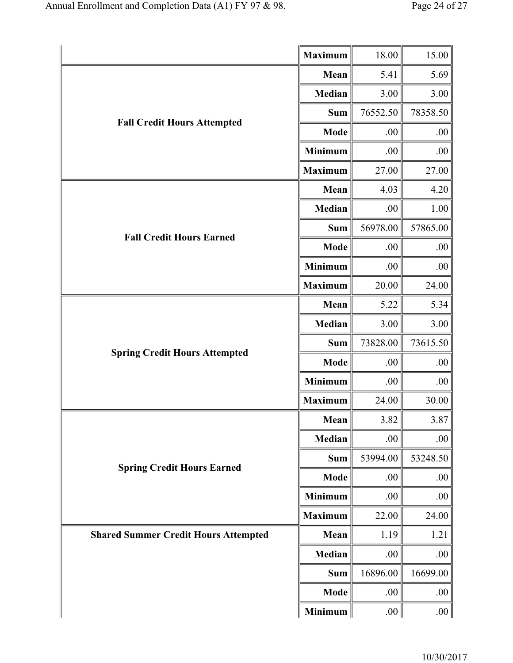|                                             | <b>Maximum</b> | 18.00    | 15.00    |
|---------------------------------------------|----------------|----------|----------|
|                                             | Mean           | 5.41     | 5.69     |
|                                             | Median         | 3.00     | 3.00     |
|                                             | <b>Sum</b>     | 76552.50 | 78358.50 |
| <b>Fall Credit Hours Attempted</b>          | <b>Mode</b>    | .00      | .00      |
|                                             | <b>Minimum</b> | .00      | .00      |
|                                             | <b>Maximum</b> | 27.00    | 27.00    |
|                                             | Mean           | 4.03     | 4.20     |
|                                             | Median         | .00      | 1.00     |
| <b>Fall Credit Hours Earned</b>             | <b>Sum</b>     | 56978.00 | 57865.00 |
|                                             | <b>Mode</b>    | .00      | .00      |
|                                             | <b>Minimum</b> | .00      | .00      |
|                                             | <b>Maximum</b> | 20.00    | 24.00    |
|                                             | Mean           | 5.22     | 5.34     |
|                                             | <b>Median</b>  | 3.00     | 3.00     |
|                                             | <b>Sum</b>     | 73828.00 | 73615.50 |
| <b>Spring Credit Hours Attempted</b>        | <b>Mode</b>    | .00      | .00      |
|                                             | Minimum        | .00      | .00      |
|                                             | <b>Maximum</b> | 24.00    | 30.00    |
|                                             | Mean           | 3.82     | 3.87     |
|                                             | Median         | .00      | .00      |
|                                             | <b>Sum</b>     | 53994.00 | 53248.50 |
| <b>Spring Credit Hours Earned</b>           | <b>Mode</b>    | .00      | .00      |
|                                             | <b>Minimum</b> | .00      | $.00\,$  |
|                                             | <b>Maximum</b> | 22.00    | 24.00    |
| <b>Shared Summer Credit Hours Attempted</b> | Mean           | 1.19     | 1.21     |
|                                             | Median         | .00      | .00      |
|                                             | Sum            | 16896.00 | 16699.00 |
|                                             | Mode           | .00      | .00.     |
|                                             | Minimum        | .00      | .00      |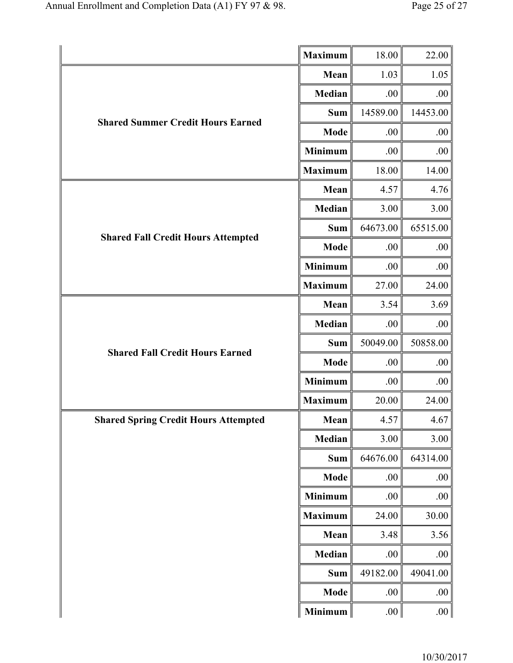|                                             | <b>Maximum</b> | 18.00    | 22.00    |
|---------------------------------------------|----------------|----------|----------|
|                                             | Mean           | 1.03     | 1.05     |
| <b>Shared Summer Credit Hours Earned</b>    | Median         | .00      | .00      |
|                                             | <b>Sum</b>     | 14589.00 | 14453.00 |
|                                             | <b>Mode</b>    | .00      | .00      |
|                                             | <b>Minimum</b> | .00      | .00      |
|                                             | <b>Maximum</b> | 18.00    | 14.00    |
|                                             | Mean           | 4.57     | 4.76     |
|                                             | Median         | 3.00     | 3.00     |
| <b>Shared Fall Credit Hours Attempted</b>   | <b>Sum</b>     | 64673.00 | 65515.00 |
|                                             | <b>Mode</b>    | .00      | .00      |
|                                             | <b>Minimum</b> | .00      | .00      |
|                                             | <b>Maximum</b> | 27.00    | 24.00    |
|                                             | Mean           | 3.54     | 3.69     |
|                                             | Median         | .00      | .00      |
|                                             | <b>Sum</b>     | 50049.00 | 50858.00 |
| <b>Shared Fall Credit Hours Earned</b>      | <b>Mode</b>    | .00      | .00      |
|                                             | <b>Minimum</b> | .00.     | .00      |
|                                             | <b>Maximum</b> | 20.00    | 24.00    |
| <b>Shared Spring Credit Hours Attempted</b> | Mean           | 4.57     | 4.67     |
|                                             | Median         | 3.00     | 3.00     |
|                                             | <b>Sum</b>     | 64676.00 | 64314.00 |
|                                             | <b>Mode</b>    | .00      | .00      |
|                                             | <b>Minimum</b> | .00      | .00      |
|                                             | <b>Maximum</b> | 24.00    | 30.00    |
|                                             | Mean           | 3.48     | 3.56     |
|                                             | Median         | .00.     | .00      |
|                                             | <b>Sum</b>     | 49182.00 | 49041.00 |
|                                             | <b>Mode</b>    | .00      | .00.     |
|                                             | <b>Minimum</b> | .00.     | .00      |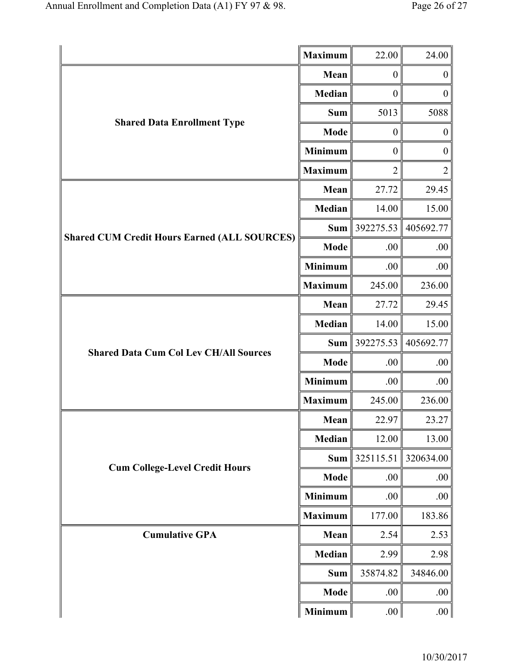|                                                     | <b>Maximum</b> | 22.00               | 24.00            |
|-----------------------------------------------------|----------------|---------------------|------------------|
|                                                     | Mean           | $\boldsymbol{0}$    | $\boldsymbol{0}$ |
|                                                     | Median         | $\boldsymbol{0}$    | $\boldsymbol{0}$ |
|                                                     | <b>Sum</b>     | 5013                | 5088             |
| <b>Shared Data Enrollment Type</b>                  | <b>Mode</b>    | $\boldsymbol{0}$    | $\boldsymbol{0}$ |
|                                                     | <b>Minimum</b> | $\boldsymbol{0}$    | $\boldsymbol{0}$ |
|                                                     | <b>Maximum</b> | 2                   | $\overline{2}$   |
|                                                     |                | 27.72               | 29.45            |
|                                                     | <b>Median</b>  | 14.00               | 15.00            |
| <b>Shared CUM Credit Hours Earned (ALL SOURCES)</b> | <b>Sum</b>     | 392275.53           | 405692.77        |
|                                                     | <b>Mode</b>    | .00                 | .00              |
|                                                     | <b>Minimum</b> | .00                 | .00              |
|                                                     | <b>Maximum</b> | 245.00              | 236.00           |
|                                                     | Mean           | 27.72               | 29.45            |
|                                                     | <b>Median</b>  | 14.00               | 15.00            |
|                                                     | <b>Sum</b>     | 392275.53 405692.77 |                  |
| <b>Shared Data Cum Col Lev CH/All Sources</b>       | <b>Mode</b>    | .00                 | .00              |
|                                                     | <b>Minimum</b> | .00.                | .00              |
|                                                     | <b>Maximum</b> | 245.00              | 236.00           |
|                                                     | Mean           | 22.97               | 23.27            |
|                                                     | Median         | 12.00               | 13.00            |
| <b>Cum College-Level Credit Hours</b>               | <b>Sum</b>     | 325115.51           | 320634.00        |
|                                                     | Mode           | .00                 | .00              |
|                                                     | <b>Minimum</b> | .00                 | .00              |
|                                                     | <b>Maximum</b> | 177.00              | 183.86           |
| <b>Cumulative GPA</b>                               | Mean           | 2.54                | 2.53             |
|                                                     | Median         | 2.99                | 2.98             |
|                                                     | <b>Sum</b>     | 35874.82            | 34846.00         |
|                                                     | <b>Mode</b>    | .00                 | .00.             |
|                                                     | <b>Minimum</b> | .00                 | .00 <sub>1</sub> |